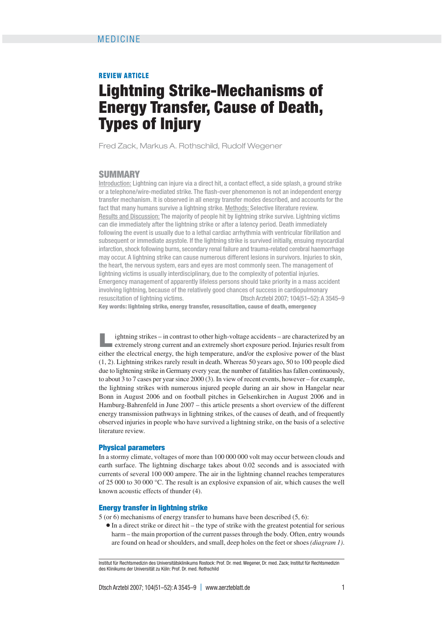### **REVIEW ARTICLE**

# **Lightning Strike-Mechanisms of Energy Transfer, Cause of Death, Types of Injury**

Fred Zack, Markus A. Rothschild, Rudolf Wegener

## **SUMMARY**

Introduction: Lightning can injure via a direct hit, a contact effect, a side splash, a ground strike or a telephone/wire-mediated strike. The flash-over phenomenon is not an independent energy transfer mechanism. It is observed in all energy transfer modes described, and accounts for the fact that many humans survive a lightning strike. Methods: Selective literature review. Results and Discussion: The majority of people hit by lightning strike survive. Lightning victims can die immediately after the lightning strike or after a latency period. Death immediately following the event is usually due to a lethal cardiac arrhythmia with ventricular fibrillation and subsequent or immediate asystole. If the lightning strike is survived initially, ensuing myocardial infarction, shock following burns, secondary renal failure and trauma-related cerebral haemorrhage may occur. A lightning strike can cause numerous different lesions in survivors. Injuries to skin, the heart, the nervous system, ears and eyes are most commonly seen. The management of lightning victims is usually interdisciplinary, due to the complexity of potential injuries. Emergency management of apparently lifeless persons should take priority in a mass accident involving lightning, because of the relatively good chances of success in cardiopulmonary resuscitation of lightning victims. Dtsch Arztebl 2007; 104(51–52):A 3545–9 **Key words: lightning strike, energy transfer, resuscitation, cause of death, emergency**

**Lightning strikes – in contrast to other high-voltage accidents – are characterized by an extremely strong current and an extremely short exposure period. Injuries result from** either the electrical energy, the high temperature, and/or the explosive power of the blast (1, 2). Lightning strikes rarely result in death. Whereas 50 years ago, 50 to 100 people died due to lightening strike in Germany every year, the number of fatalities has fallen continuously, to about 3 to 7 cases per year since 2000 (3). In view of recent events, however – for example, the lightning strikes with numerous injured people during an air show in Hangelar near Bonn in August 2006 and on football pitches in Gelsenkirchen in August 2006 and in Hamburg-Bahrenfeld in June 2007 – this article presents a short overview of the different energy transmission pathways in lightning strikes, of the causes of death, and of frequently observed injuries in people who have survived a lightning strike, on the basis of a selective literature review.

## **Physical parameters**

In a stormy climate, voltages of more than 100 000 000 volt may occur between clouds and earth surface. The lightning discharge takes about 0.02 seconds and is associated with currents of several 100 000 ampere. The air in the lightning channel reaches temperatures of 25 000 to 30 000 °C. The result is an explosive expansion of air, which causes the well known acoustic effects of thunder (4).

#### **Energy transfer in lightning strike**

5 (or 6) mechanisms of energy transfer to humans have been described (5, 6):

❃ In a direct strike or direct hit – the type of strike with the greatest potential for serious harm – the main proportion of the current passes through the body. Often, entry wounds are found on head or shoulders, and small, deep holes on the feet or shoes *(diagram 1)*.

Institut für Rechtsmedizin des Universitätsklinikums Rostock: Prof. Dr. med. Wegener, Dr. med. Zack; Institut für Rechtsmedizin des Klinikums der Universität zu Köln: Prof. Dr. med. Rothschild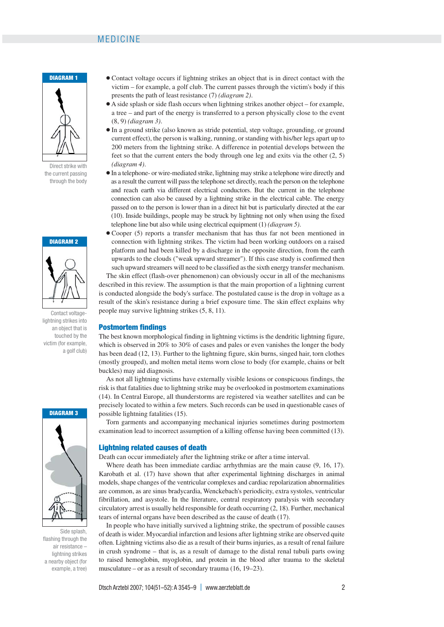## MEDICINE



Direct strike with the current passing through the body



Contact voltagelightning strikes into an object that is touched by the victim (for example, a golf club)



Side splash, flashing through the air resistance – lightning strikes a nearby object (for example, a tree)

- Contact voltage occurs if lightning strikes an object that is in direct contact with the victim – for example, a golf club. The current passes through the victim's body if this presents the path of least resistance (7) *(diagram 2)*.
- ❃ A side splash or side flash occurs when lightning strikes another object for example, a tree – and part of the energy is transferred to a person physically close to the event (8, 9) *(diagram 3)*.
- ❃ In a ground strike (also known as stride potential, step voltage, grounding, or ground current effect), the person is walking, running, or standing with his/her legs apart up to 200 meters from the lightning strike. A difference in potential develops between the feet so that the current enters the body through one leg and exits via the other (2, 5) *(diagram 4)*.
- ❃ In a telephone- or wire-mediated strike, lightning may strike a telephone wire directly and as a result the current will pass the telephone set directly, reach the person on the telephone and reach earth via different electrical conductors. But the current in the telephone connection can also be caused by a lightning strike in the electrical cable. The energy passed on to the person is lower than in a direct hit but is particularly directed at the ear (10). Inside buildings, people may be struck by lightning not only when using the fixed telephone line but also while using electrical equipment (1) *(diagram 5)*.
- ❃ Cooper (5) reports a transfer mechanism that has thus far not been mentioned in connection with lightning strikes. The victim had been working outdoors on a raised platform and had been killed by a discharge in the opposite direction, from the earth upwards to the clouds ("weak upward streamer"). If this case study is confirmed then such upward streamers will need to be classified as the sixth energy transfer mechanism. The skin effect (flash-over phenomenon) can obviously occur in all of the mechanisms described in this review. The assumption is that the main proportion of a lightning current is conducted alongside the body's surface. The postulated cause is the drop in voltage as a result of the skin's resistance during a brief exposure time. The skin effect explains why people may survive lightning strikes (5, 8, 11).

#### **Postmortem findings**

The best known morphological finding in lightning victims is the dendritic lightning figure, which is observed in 20% to 30% of cases and pales or even vanishes the longer the body has been dead (12, 13). Further to the lightning figure, skin burns, singed hair, torn clothes (mostly grouped), and molten metal items worn close to body (for example, chains or belt buckles) may aid diagnosis.

As not all lightning victims have externally visible lesions or conspicuous findings, the risk is that fatalities due to lightning strike may be overlooked in postmortem examinations (14). In Central Europe, all thunderstorms are registered via weather satellites and can be precisely located to within a few meters. Such records can be used in questionable cases of possible lightning fatalities (15).

Torn garments and accompanying mechanical injuries sometimes during postmortem examination lead to incorrect assumption of a killing offense having been committed (13).

#### **Lightning related causes of death**

Death can occur immediately after the lightning strike or after a time interval.

Where death has been immediate cardiac arrhythmias are the main cause (9, 16, 17). Karobath et al. (17) have shown that after experimental lightning discharges in animal models, shape changes of the ventricular complexes and cardiac repolarization abnormalities are common, as are sinus bradycardia, Wenckebach's periodicity, extra systoles, ventricular fibrillation, and asystole. In the literature, central respiratory paralysis with secondary circulatory arrest is usually held responsible for death occurring (2, 18). Further, mechanical tears of internal organs have been described as the cause of death (17).

In people who have initially survived a lightning strike, the spectrum of possible causes of death is wider. Myocardial infarction and lesions after lightning strike are observed quite often. Lightning victims also die as a result of their burns injuries, as a result of renal failure in crush syndrome – that is, as a result of damage to the distal renal tubuli parts owing to raised hemoglobin, myoglobin, and protein in the blood after trauma to the skeletal musculature – or as a result of secondary trauma (16, 19–23).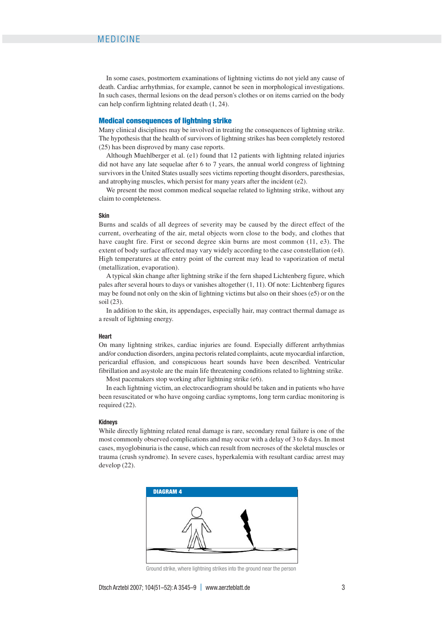In some cases, postmortem examinations of lightning victims do not yield any cause of death. Cardiac arrhythmias, for example, cannot be seen in morphological investigations. In such cases, thermal lesions on the dead person's clothes or on items carried on the body can help confirm lightning related death (1, 24).

#### **Medical consequences of lightning strike**

Many clinical disciplines may be involved in treating the consequences of lightning strike. The hypothesis that the health of survivors of lightning strikes has been completely restored (25) has been disproved by many case reports.

Although Muehlberger et al. (e1) found that 12 patients with lightning related injuries did not have any late sequelae after 6 to 7 years, the annual world congress of lightning survivors in the United States usually sees victims reporting thought disorders, paresthesias, and atrophying muscles, which persist for many years after the incident (e2).

We present the most common medical sequelae related to lightning strike, without any claim to completeness.

#### **Skin**

Burns and scalds of all degrees of severity may be caused by the direct effect of the current, overheating of the air, metal objects worn close to the body, and clothes that have caught fire. First or second degree skin burns are most common (11, e3). The extent of body surface affected may vary widely according to the case constellation (e4). High temperatures at the entry point of the current may lead to vaporization of metal (metallization, evaporation).

A typical skin change after lightning strike if the fern shaped Lichtenberg figure, which pales after several hours to days or vanishes altogether (1, 11). Of note: Lichtenberg figures may be found not only on the skin of lightning victims but also on their shoes (e5) or on the soil (23).

In addition to the skin, its appendages, especially hair, may contract thermal damage as a result of lightning energy.

#### **Heart**

On many lightning strikes, cardiac injuries are found. Especially different arrhythmias and/or conduction disorders, angina pectoris related complaints, acute myocardial infarction, pericardial effusion, and conspicuous heart sounds have been described. Ventricular fibrillation and asystole are the main life threatening conditions related to lightning strike.

Most pacemakers stop working after lightning strike (e6).

In each lightning victim, an electrocardiogram should be taken and in patients who have been resuscitated or who have ongoing cardiac symptoms, long term cardiac monitoring is required (22).

#### **Kidneys**

While directly lightning related renal damage is rare, secondary renal failure is one of the most commonly observed complications and may occur with a delay of 3 to 8 days. In most cases, myoglobinuria is the cause, which can result from necroses of the skeletal muscles or trauma (crush syndrome). In severe cases, hyperkalemia with resultant cardiac arrest may develop (22).



Ground strike, where lightning strikes into the ground near the person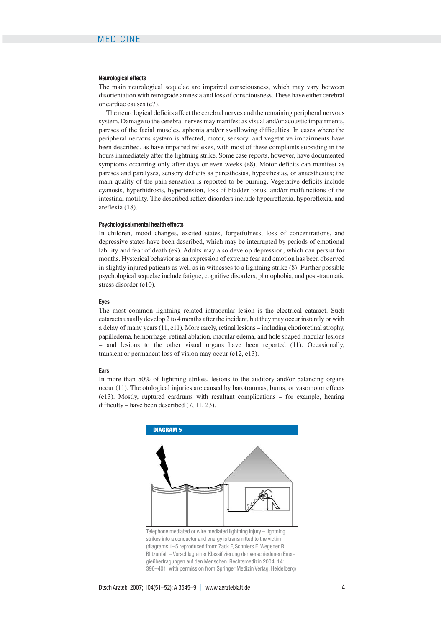#### **Neurological effects**

The main neurological sequelae are impaired consciousness, which may vary between disorientation with retrograde amnesia and loss of consciousness. These have either cerebral or cardiac causes (e7).

The neurological deficits affect the cerebral nerves and the remaining peripheral nervous system. Damage to the cerebral nerves may manifest as visual and/or acoustic impairments, pareses of the facial muscles, aphonia and/or swallowing difficulties. In cases where the peripheral nervous system is affected, motor, sensory, and vegetative impairments have been described, as have impaired reflexes, with most of these complaints subsiding in the hours immediately after the lightning strike. Some case reports, however, have documented symptoms occurring only after days or even weeks (e8). Motor deficits can manifest as pareses and paralyses, sensory deficits as paresthesias, hypesthesias, or anaesthesias; the main quality of the pain sensation is reported to be burning. Vegetative deficits include cyanosis, hyperhidrosis, hypertension, loss of bladder tonus, and/or malfunctions of the intestinal motility. The described reflex disorders include hyperreflexia, hyporeflexia, and areflexia (18).

#### **Psychological/mental health effects**

In children, mood changes, excited states, forgetfulness, loss of concentrations, and depressive states have been described, which may be interrupted by periods of emotional lability and fear of death (e9). Adults may also develop depression, which can persist for months. Hysterical behavior as an expression of extreme fear and emotion has been observed in slightly injured patients as well as in witnesses to a lightning strike (8). Further possible psychological sequelae include fatigue, cognitive disorders, photophobia, and post-traumatic stress disorder (e10).

#### **Eyes**

The most common lightning related intraocular lesion is the electrical cataract. Such cataracts usually develop 2 to 4 months after the incident, but they may occur instantly or with a delay of many years (11, e11). More rarely, retinal lesions – including chorioretinal atrophy, papilledema, hemorrhage, retinal ablation, macular edema, and hole shaped macular lesions – and lesions to the other visual organs have been reported (11). Occasionally, transient or permanent loss of vision may occur (e12, e13).

#### **Ears**

In more than 50% of lightning strikes, lesions to the auditory and/or balancing organs occur (11). The otological injuries are caused by barotraumas, burns, or vasomotor effects (e13). Mostly, ruptured eardrums with resultant complications – for example, hearing difficulty – have been described (7, 11, 23).



Telephone mediated or wire mediated lightning injury – lightning strikes into a conductor and energy is transmitted to the victim (diagrams 1–5 reproduced from: Zack F, Schniers E, Wegener R: Blitzunfall – Vorschlag einer Klassifizierung der verschiedenen Energieübertragungen auf den Menschen. Rechtsmedizin 2004; 14: 396–401; with permission from Springer Medizin Verlag, Heidelberg)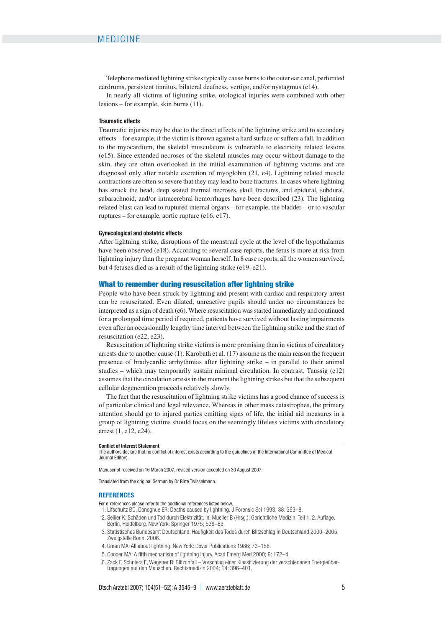Telephone mediated lightning strikes typically cause burns to the outer ear canal, perforated eardrums, persistent tinnitus, bilateral deafness, vertigo, and/or nystagmus (e14).

In nearly all victims of lightning strike, otological injuries were combined with other lesions – for example, skin burns (11).

#### **Traumatic effects**

Traumatic injuries may be due to the direct effects of the lightning strike and to secondary effects – for example, if the victim is thrown against a hard surface or suffers a fall. In addition to the myocardium, the skeletal musculature is vulnerable to electricity related lesions (e15). Since extended necroses of the skeletal muscles may occur without damage to the skin, they are often overlooked in the initial examination of lightning victims and are diagnosed only after notable excretion of myoglobin (21, e4). Lightning related muscle contractions are often so severe that they may lead to bone fractures. In cases where lightning has struck the head, deep seated thermal necroses, skull fractures, and epidural, subdural, subarachnoid, and/or intracerebral hemorrhages have been described (23). The lightning related blast can lead to ruptured internal organs – for example, the bladder – or to vascular ruptures – for example, aortic rupture (e16, e17).

#### **Gynecological and obstetric effects**

After lightning strike, disruptions of the menstrual cycle at the level of the hypothalamus have been observed (e18). According to several case reports, the fetus is more at risk from lightning injury than the pregnant woman herself. In 8 case reports, all the women survived, but 4 fetuses died as a result of the lightning strike (e19–e21).

#### **What to remember during resuscitation after lightning strike**

People who have been struck by lightning and present with cardiac and respiratory arrest can be resuscitated. Even dilated, unreactive pupils should under no circumstances be interpreted as a sign of death (e6). Where resuscitation was started immediately and continued for a prolonged time period if required, patients have survived without lasting impairments even after an occasionally lengthy time interval between the lightning strike and the start of resuscitation (e22, e23).

Resuscitation of lightning strike victims is more promising than in victims of circulatory arrests due to another cause (1). Karobath et al. (17) assume as the main reason the frequent presence of bradycardic arrhythmias after lightning strike – in parallel to their animal studies – which may temporarily sustain minimal circulation. In contrast, Taussig (e12) assumes that the circulation arrests in the moment the lightning strikes but that the subsequent cellular degeneration proceeds relatively slowly.

The fact that the resuscitation of lightning strike victims has a good chance of success is of particular clinical and legal relevance. Whereas in other mass catastrophes, the primary attention should go to injured parties emitting signs of life, the initial aid measures in a group of lightning victims should focus on the seemingly lifeless victims with circulatory arrest (1, e12, e24).

#### **Conflict of Interest Statement**

The authors declare that no conflict of interest exists according to the guidelines of the International Committee of Medical Journal Editors.

Manuscript received on 16 March 2007, revised version accepted on 30 August 2007.

Translated from the original German by Dr Birte Twisselmann.

#### **REFERENCES**

For e-references please refer to the additional references listed below.

- 1. Lifschultz BD, Donoghue ER: Deaths caused by lightning. J Forensic Sci 1993; 38: 353–8.
- 2. Sellier K: Schäden und Tod durch Elektrizität. In: Mueller B (Hrsg.): Gerichtliche Medizin, Teil 1, 2. Auflage. Berlin, Heidelberg, New York: Springer 1975; 538–63.
- 3. Statistisches Bundesamt Deutschland: Häufigkeit des Todes durch Blitzschlag in Deutschland 2000–2005. Zweigstelle Bonn, 2006.
- 4. Uman MA: All about lightning. New York: Dover Publications 1986; 73–158.
- 5. Cooper MA: A fifth mechanism of lightning injury. Acad Emerg Med 2000; 9: 172–4.
- 6. Zack F, Schniers E, Wegener R: Blitzunfall Vorschlag einer Klassifizierung der verschiedenen Energieübertragungen auf den Menschen. Rechtsmedizin 2004; 14: 396–401.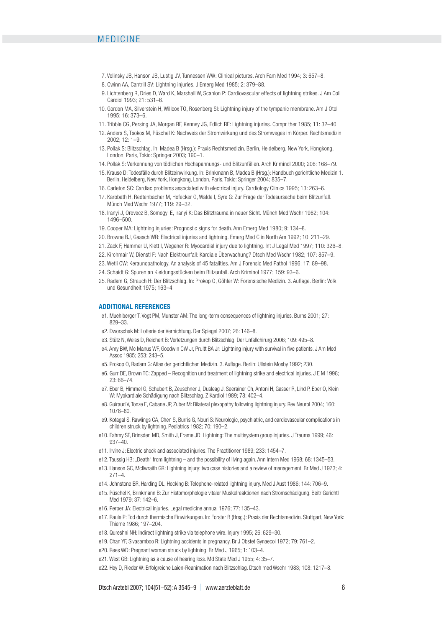# MEDICINE

- 7. Volinsky JB, Hanson JB, Lustig JV, Tunnessen WW: Clinical pictures. Arch Fam Med 1994; 3: 657–8.
- 8. Cwinn AA, Cantrill SV: Lightning injuries. J Emerg Med 1985; 2: 379–88.
- 9. Lichtenberg R, Dries D, Ward K, Marshall W, Scanlon P: Cardiovascular effects of lightning strikes. J Am Coll Cardiol 1993; 21: 531–6.
- 10. Gordon MA, Silverstein H, Willcox TO, Rosenberg SI: Lightning injury of the tympanic membrane. Am J Otol 1995; 16: 373–6.
- 11. Tribble CG, Persing JA, Morgan RF, Kenney JG, Edlich RF: Lightning injuries. Compr ther 1985; 11: 32–40.
- 12. Anders S, Tsokos M, Püschel K: Nachweis der Stromwirkung und des Stromweges im Körper. Rechtsmedizin 2002; 12: 1–9.
- 13. Pollak S: Blitzschlag. In: Madea B (Hrsg.): Praxis Rechtsmedizin. Berlin, Heidelberg, New York, Hongkong, London, Paris, Tokio: Springer 2003; 190–1.
- 14. Pollak S: Verkennung von tödlichen Hochspannungs- und Blitzunfällen. Arch Kriminol 2000; 206: 168–79.
- 15. Krause D: Todesfälle durch Blitzeinwirkung. In: Brinkmann B, Madea B (Hrsg.): Handbuch gerichtliche Medizin 1. Berlin, Heidelberg, New York, Hongkong, London, Paris, Tokio: Springer 2004; 835–7.
- 16. Carleton SC: Cardiac problems associated with electrical injury. Cardiology Clinics 1995; 13: 263–6.
- 17. Karobath H, Redtenbacher M, Hofecker G, Walde I, Syre G: Zur Frage der Todesursache beim Blitzunfall. Münch Med Wschr 1977; 119: 29–32.
- 18. Iranyi J, Orovecz B, Somogyi E, Iranyi K: Das Blitztrauma in neuer Sicht. Münch Med Wschr 1962; 104: 1496–500.
- 19. Cooper MA: Lightning injuries: Prognostic signs for death. Ann Emerg Med 1980; 9: 134–8.
- 20. Browne BJ, Gaasch WR: Electrical injuries and lightning. Emerg Med Clin North Am 1992; 10: 211–29.
- 21. Zack F, Hammer U, Klett I, Wegener R: Myocardial injury due to lightning. Int J Legal Med 1997; 110: 326–8.
- 22. Kirchmair W, Dienstl F: Nach Elektrounfall: Kardiale Überwachung? Dtsch Med Wschr 1982; 107: 857–9.
- 23. Wetli CW: Keraunopathology. An analysis of 45 fatalities. Am J Forensic Med Pathol 1996; 17: 89–98.
- 24. Schaidt G: Spuren an Kleidungsstücken beim Blitzunfall. Arch Kriminol 1977; 159: 93–6.
- 25. Radam G, Strauch H: Der Blitzschlag. In: Prokop O, Göhler W: Forensische Medizin. 3. Auflage. Berlin: Volk und Gesundheit 1975; 163–4.

#### **ADDITIONAL REFERENCES**

- e1. Muehlberger T, Vogt PM, Munster AM: The long-term consequences of lightning injuries. Burns 2001; 27: 829–33.
- e2. Dworschak M: Lotterie der Vernichtung. Der Spiegel 2007; 26: 146–8.
- e3. Stütz N, Weiss D, Reichert B: Verletzungen durch Blitzschlag. Der Unfallchirurg 2006; 109: 495–8.
- e4. Amy BW, Mc Manus WF, Goodwin CW Jr, Pruitt BA Jr: Lightning injury with survival in five patients. J Am Med Assoc 1985; 253: 243–5.
- e5. Prokop O, Radam G: Atlas der gerichtlichen Medizin. 3. Auflage. Berlin: Ullstein Mosby 1992; 230.
- e6. Gurr DE, Brown TC: Zapped Recognition und treatment of lightning strike and electrical injuries. J E M 1998; 23: 66–74.
- e7. Eber B, Himmel G, Schubert B, Zeuschner J, Dusleag J, Seerainer Ch, Antoni H, Gasser R, Lind P, Eber O, Klein W: Myokardiale Schädigung nach Blitzschlag. Z Kardiol 1989; 78: 402–4.
- e8. Guiraud V, Tonze E, Cabane JP, Zuber M: Bilateral plexopathy following lightning injury. Rev Neurol 2004; 160: 1078–80.
- e9. Kotagal S, Rawlings CA, Chen S, Burris G, Nouri S: Neurologic, psychiatric, and cardiovascular complications in children struck by lightning. Pediatrics 1982; 70: 190–2.
- e10. Fahmy SF, Brinsden MD, Smith J, Frame JD: Lightning: The multisystem group injuries. J Trauma 1999; 46: 937–40.
- e11. Irvine J: Electric shock and associated injuries. The Practitioner 1989; 233: 1454–7.
- e12. Taussig HB: "Death" from lightning and the possibility of living again. Ann Intern Med 1968; 68: 1345-53.
- e13. Hanson GC, McIlwraith GR: Lightning injury: two case histories and a review of management. Br Med J 1973; 4:  $271 - 4$
- e14. Johnstone BR, Harding DL, Hocking B: Telephone-related lightning injury. Med J Aust 1986; 144: 706–9.
- e15. Püschel K, Brinkmann B: Zur Histomorphologie vitaler Muskelreaktionen nach Stromschädigung. Beitr Gerichtl Med 1979; 37: 142-6.
- e16. Perper JA: Electrical injuries. Legal medicine annual 1976; 77: 135–43.
- e17. Raule P: Tod durch thermische Einwirkungen. In: Forster B (Hrsg.): Praxis der Rechtsmedizin. Stuttgart, New York: Thieme 1986; 197–204.
- e18. Qureshni NH: Indirect lightning strike via telephone wire. Injury 1995; 26: 629–30.
- e19. Chan YF, Sivasamboo R: Lightning accidents in pregnancy. Br J Obstet Gynaecol 1972; 79: 761-2.
- e20. Rees WD: Pregnant woman struck by lightning. Br Med J 1965; 1: 103–4.
- e21. West GB: Lightning as a cause of hearing loss. Md State Med J 1955; 4: 35–7.
- e22. Hey D, Rieder W: Erfolgreiche Laien-Reanimation nach Blitzschlag. Dtsch med Wschr 1983; 108: 1217–8.